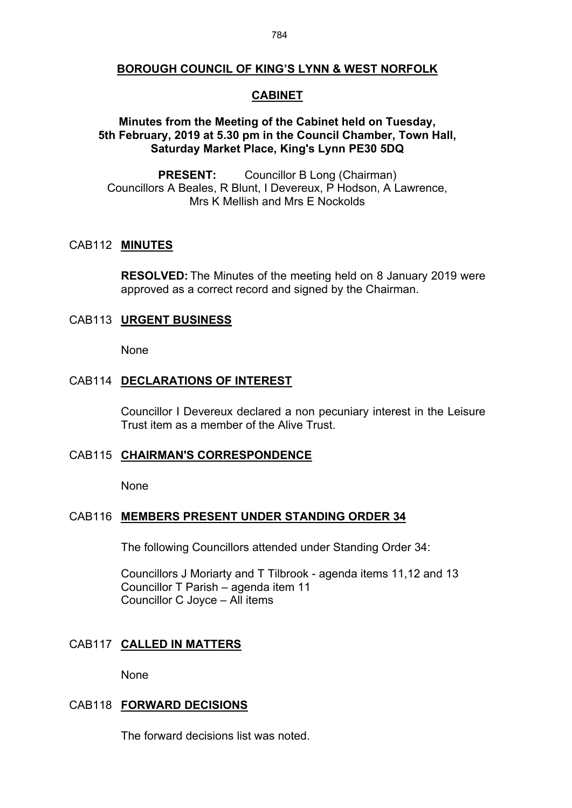# **BOROUGH COUNCIL OF KING'S LYNN & WEST NORFOLK**

## **CABINET**

## **Minutes from the Meeting of the Cabinet held on Tuesday, 5th February, 2019 at 5.30 pm in the Council Chamber, Town Hall, Saturday Market Place, King's Lynn PE30 5DQ**

**PRESENT:** Councillor B Long (Chairman) Councillors A Beales, R Blunt, I Devereux, P Hodson, A Lawrence, Mrs K Mellish and Mrs E Nockolds

#### CAB112 **MINUTES**

**RESOLVED:** The Minutes of the meeting held on 8 January 2019 were approved as a correct record and signed by the Chairman.

## CAB113 **URGENT BUSINESS**

None

# CAB114 **DECLARATIONS OF INTEREST**

Councillor I Devereux declared a non pecuniary interest in the Leisure Trust item as a member of the Alive Trust.

#### CAB115 **CHAIRMAN'S CORRESPONDENCE**

None

#### CAB116 **MEMBERS PRESENT UNDER STANDING ORDER 34**

The following Councillors attended under Standing Order 34:

Councillors J Moriarty and T Tilbrook - agenda items 11,12 and 13 Councillor T Parish – agenda item 11 Councillor C Joyce – All items

#### CAB117 **CALLED IN MATTERS**

None

#### CAB118 **FORWARD DECISIONS**

The forward decisions list was noted.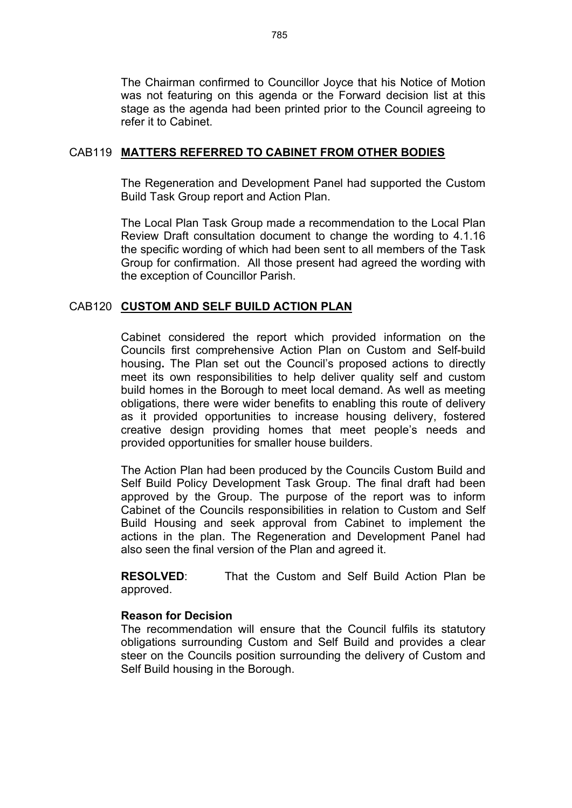The Chairman confirmed to Councillor Joyce that his Notice of Motion was not featuring on this agenda or the Forward decision list at this stage as the agenda had been printed prior to the Council agreeing to refer it to Cabinet.

### CAB119 **MATTERS REFERRED TO CABINET FROM OTHER BODIES**

The Regeneration and Development Panel had supported the Custom Build Task Group report and Action Plan.

The Local Plan Task Group made a recommendation to the Local Plan Review Draft consultation document to change the wording to 4.1.16 the specific wording of which had been sent to all members of the Task Group for confirmation. All those present had agreed the wording with the exception of Councillor Parish.

## CAB120 **CUSTOM AND SELF BUILD ACTION PLAN**

Cabinet considered the report which provided information on the Councils first comprehensive Action Plan on Custom and Self-build housing**.** The Plan set out the Council's proposed actions to directly meet its own responsibilities to help deliver quality self and custom build homes in the Borough to meet local demand. As well as meeting obligations, there were wider benefits to enabling this route of delivery as it provided opportunities to increase housing delivery, fostered creative design providing homes that meet people's needs and provided opportunities for smaller house builders.

The Action Plan had been produced by the Councils Custom Build and Self Build Policy Development Task Group. The final draft had been approved by the Group. The purpose of the report was to inform Cabinet of the Councils responsibilities in relation to Custom and Self Build Housing and seek approval from Cabinet to implement the actions in the plan. The Regeneration and Development Panel had also seen the final version of the Plan and agreed it.

**RESOLVED**: That the Custom and Self Build Action Plan be approved.

### **Reason for Decision**

The recommendation will ensure that the Council fulfils its statutory obligations surrounding Custom and Self Build and provides a clear steer on the Councils position surrounding the delivery of Custom and Self Build housing in the Borough.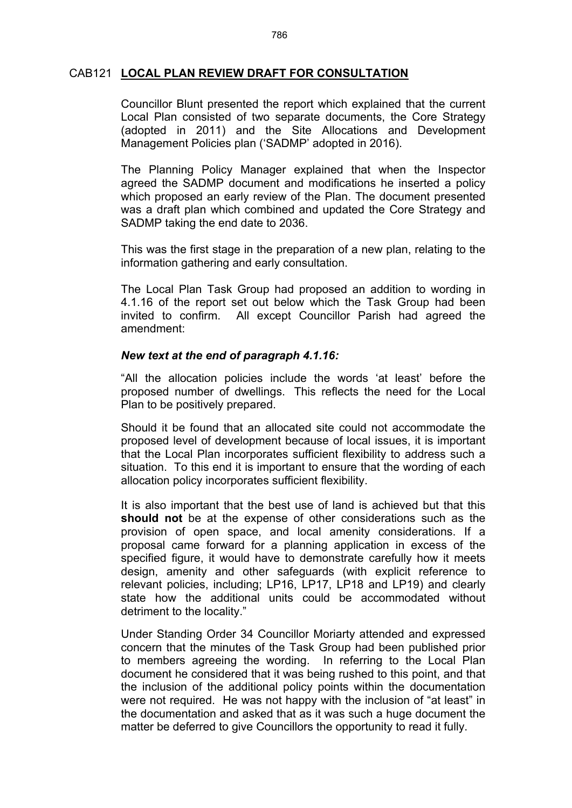## CAB121 **LOCAL PLAN REVIEW DRAFT FOR CONSULTATION**

Councillor Blunt presented the report which explained that the current Local Plan consisted of two separate documents, the Core Strategy (adopted in 2011) and the Site Allocations and Development Management Policies plan ('SADMP' adopted in 2016).

The Planning Policy Manager explained that when the Inspector agreed the SADMP document and modifications he inserted a policy which proposed an early review of the Plan. The document presented was a draft plan which combined and updated the Core Strategy and SADMP taking the end date to 2036.

This was the first stage in the preparation of a new plan, relating to the information gathering and early consultation.

The Local Plan Task Group had proposed an addition to wording in 4.1.16 of the report set out below which the Task Group had been invited to confirm. All except Councillor Parish had agreed the amendment:

#### *New text at the end of paragraph 4.1.16:*

"All the allocation policies include the words 'at least' before the proposed number of dwellings. This reflects the need for the Local Plan to be positively prepared.

Should it be found that an allocated site could not accommodate the proposed level of development because of local issues, it is important that the Local Plan incorporates sufficient flexibility to address such a situation. To this end it is important to ensure that the wording of each allocation policy incorporates sufficient flexibility.

It is also important that the best use of land is achieved but that this **should not** be at the expense of other considerations such as the provision of open space, and local amenity considerations. If a proposal came forward for a planning application in excess of the specified figure, it would have to demonstrate carefully how it meets design, amenity and other safeguards (with explicit reference to relevant policies, including; LP16, LP17, LP18 and LP19) and clearly state how the additional units could be accommodated without detriment to the locality."

Under Standing Order 34 Councillor Moriarty attended and expressed concern that the minutes of the Task Group had been published prior to members agreeing the wording. In referring to the Local Plan document he considered that it was being rushed to this point, and that the inclusion of the additional policy points within the documentation were not required. He was not happy with the inclusion of "at least" in the documentation and asked that as it was such a huge document the matter be deferred to give Councillors the opportunity to read it fully.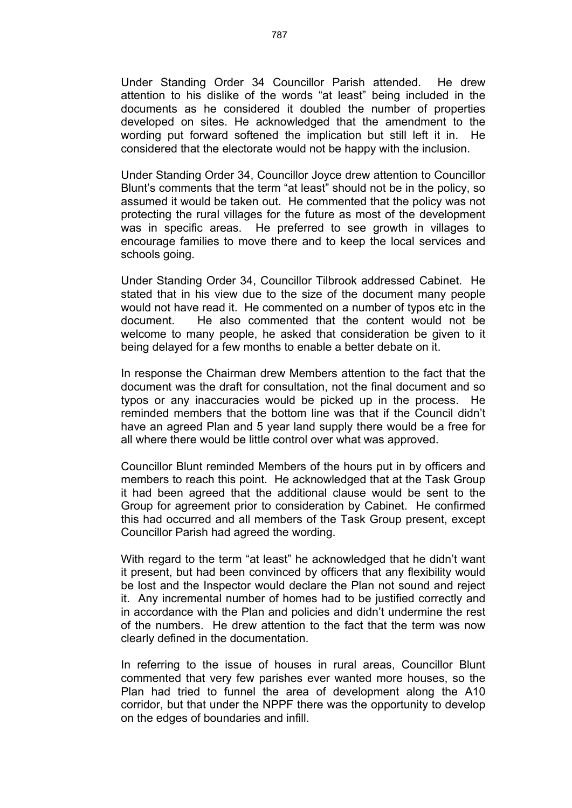Under Standing Order 34 Councillor Parish attended. He drew attention to his dislike of the words "at least" being included in the documents as he considered it doubled the number of properties developed on sites. He acknowledged that the amendment to the wording put forward softened the implication but still left it in. He considered that the electorate would not be happy with the inclusion.

Under Standing Order 34, Councillor Joyce drew attention to Councillor Blunt's comments that the term "at least" should not be in the policy, so assumed it would be taken out. He commented that the policy was not protecting the rural villages for the future as most of the development was in specific areas. He preferred to see growth in villages to encourage families to move there and to keep the local services and schools going.

Under Standing Order 34, Councillor Tilbrook addressed Cabinet. He stated that in his view due to the size of the document many people would not have read it. He commented on a number of typos etc in the document. He also commented that the content would not be welcome to many people, he asked that consideration be given to it being delayed for a few months to enable a better debate on it.

In response the Chairman drew Members attention to the fact that the document was the draft for consultation, not the final document and so typos or any inaccuracies would be picked up in the process. He reminded members that the bottom line was that if the Council didn't have an agreed Plan and 5 year land supply there would be a free for all where there would be little control over what was approved.

Councillor Blunt reminded Members of the hours put in by officers and members to reach this point. He acknowledged that at the Task Group it had been agreed that the additional clause would be sent to the Group for agreement prior to consideration by Cabinet. He confirmed this had occurred and all members of the Task Group present, except Councillor Parish had agreed the wording.

With regard to the term "at least" he acknowledged that he didn't want it present, but had been convinced by officers that any flexibility would be lost and the Inspector would declare the Plan not sound and reject it. Any incremental number of homes had to be justified correctly and in accordance with the Plan and policies and didn't undermine the rest of the numbers. He drew attention to the fact that the term was now clearly defined in the documentation.

In referring to the issue of houses in rural areas, Councillor Blunt commented that very few parishes ever wanted more houses, so the Plan had tried to funnel the area of development along the A10 corridor, but that under the NPPF there was the opportunity to develop on the edges of boundaries and infill.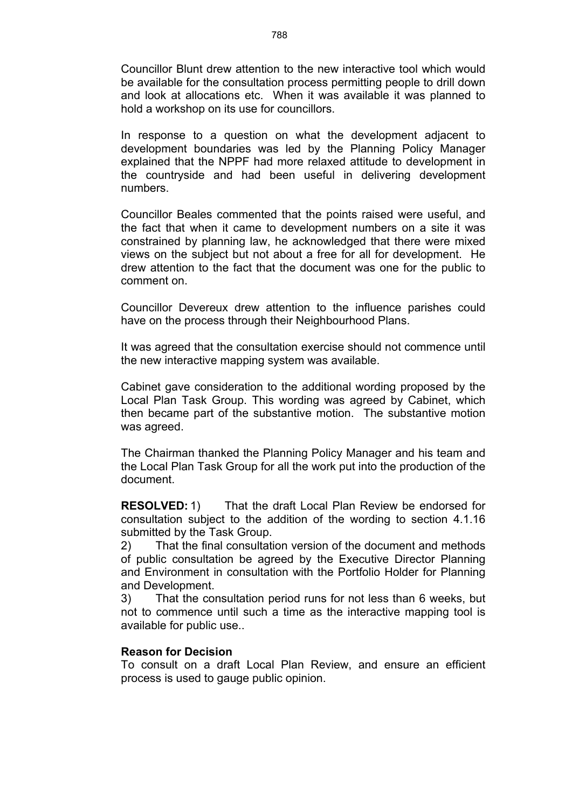Councillor Blunt drew attention to the new interactive tool which would be available for the consultation process permitting people to drill down and look at allocations etc. When it was available it was planned to hold a workshop on its use for councillors.

In response to a question on what the development adjacent to development boundaries was led by the Planning Policy Manager explained that the NPPF had more relaxed attitude to development in the countryside and had been useful in delivering development numbers.

Councillor Beales commented that the points raised were useful, and the fact that when it came to development numbers on a site it was constrained by planning law, he acknowledged that there were mixed views on the subject but not about a free for all for development. He drew attention to the fact that the document was one for the public to comment on.

Councillor Devereux drew attention to the influence parishes could have on the process through their Neighbourhood Plans.

It was agreed that the consultation exercise should not commence until the new interactive mapping system was available.

Cabinet gave consideration to the additional wording proposed by the Local Plan Task Group. This wording was agreed by Cabinet, which then became part of the substantive motion. The substantive motion was agreed.

The Chairman thanked the Planning Policy Manager and his team and the Local Plan Task Group for all the work put into the production of the document.

**RESOLVED:** 1) That the draft Local Plan Review be endorsed for consultation subject to the addition of the wording to section 4.1.16 submitted by the Task Group.

2) That the final consultation version of the document and methods of public consultation be agreed by the Executive Director Planning and Environment in consultation with the Portfolio Holder for Planning and Development.

3) That the consultation period runs for not less than 6 weeks, but not to commence until such a time as the interactive mapping tool is available for public use..

## **Reason for Decision**

To consult on a draft Local Plan Review, and ensure an efficient process is used to gauge public opinion.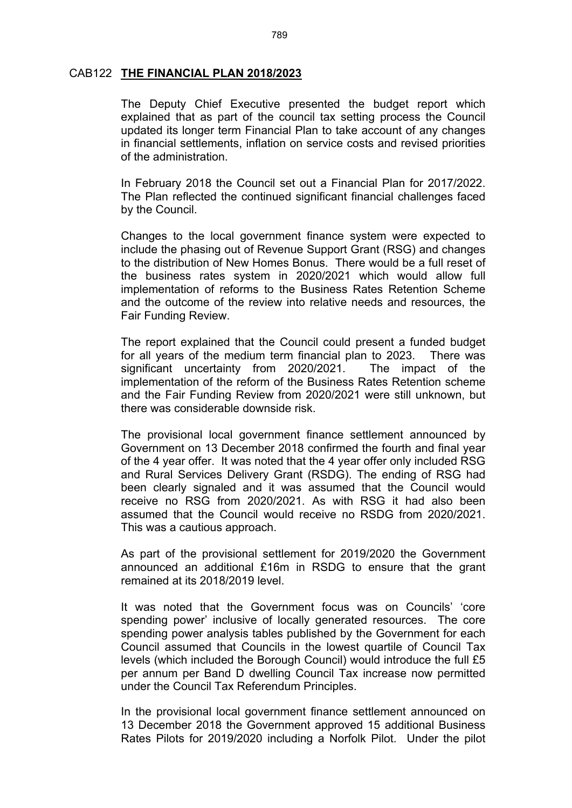#### CAB122 **THE FINANCIAL PLAN 2018/2023**

The Deputy Chief Executive presented the budget report which explained that as part of the council tax setting process the Council updated its longer term Financial Plan to take account of any changes in financial settlements, inflation on service costs and revised priorities of the administration.

In February 2018 the Council set out a Financial Plan for 2017/2022. The Plan reflected the continued significant financial challenges faced by the Council.

Changes to the local government finance system were expected to include the phasing out of Revenue Support Grant (RSG) and changes to the distribution of New Homes Bonus. There would be a full reset of the business rates system in 2020/2021 which would allow full implementation of reforms to the Business Rates Retention Scheme and the outcome of the review into relative needs and resources, the Fair Funding Review.

The report explained that the Council could present a funded budget for all years of the medium term financial plan to 2023. There was significant uncertainty from 2020/2021.The impact of the implementation of the reform of the Business Rates Retention scheme and the Fair Funding Review from 2020/2021 were still unknown, but there was considerable downside risk.

The provisional local government finance settlement announced by Government on 13 December 2018 confirmed the fourth and final year of the 4 year offer. It was noted that the 4 year offer only included RSG and Rural Services Delivery Grant (RSDG). The ending of RSG had been clearly signaled and it was assumed that the Council would receive no RSG from 2020/2021. As with RSG it had also been assumed that the Council would receive no RSDG from 2020/2021. This was a cautious approach.

As part of the provisional settlement for 2019/2020 the Government announced an additional £16m in RSDG to ensure that the grant remained at its 2018/2019 level.

It was noted that the Government focus was on Councils' 'core spending power' inclusive of locally generated resources. The core spending power analysis tables published by the Government for each Council assumed that Councils in the lowest quartile of Council Tax levels (which included the Borough Council) would introduce the full £5 per annum per Band D dwelling Council Tax increase now permitted under the Council Tax Referendum Principles.

In the provisional local government finance settlement announced on 13 December 2018 the Government approved 15 additional Business Rates Pilots for 2019/2020 including a Norfolk Pilot. Under the pilot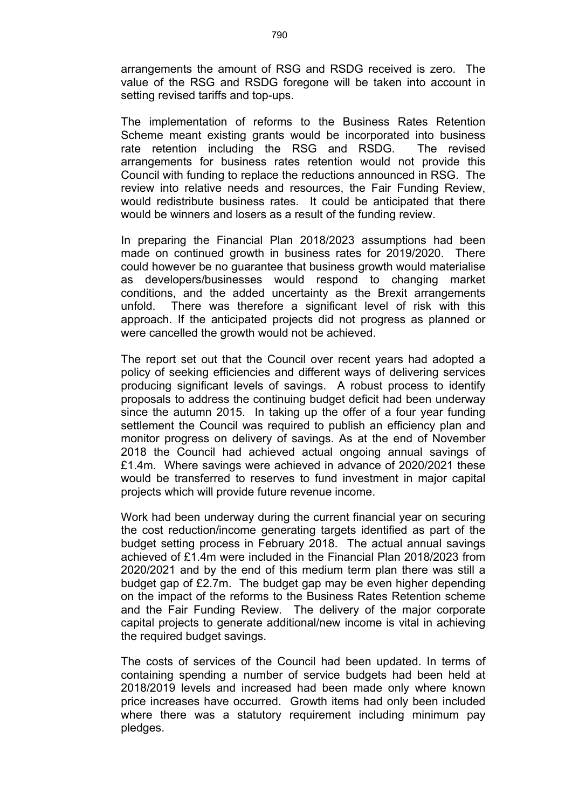arrangements the amount of RSG and RSDG received is zero. The value of the RSG and RSDG foregone will be taken into account in setting revised tariffs and top-ups.

The implementation of reforms to the Business Rates Retention Scheme meant existing grants would be incorporated into business rate retention including the RSG and RSDG. The revised arrangements for business rates retention would not provide this Council with funding to replace the reductions announced in RSG. The review into relative needs and resources, the Fair Funding Review, would redistribute business rates. It could be anticipated that there would be winners and losers as a result of the funding review.

In preparing the Financial Plan 2018/2023 assumptions had been made on continued growth in business rates for 2019/2020. There could however be no guarantee that business growth would materialise as developers/businesses would respond to changing market conditions, and the added uncertainty as the Brexit arrangements unfold. There was therefore a significant level of risk with this approach. If the anticipated projects did not progress as planned or were cancelled the growth would not be achieved.

The report set out that the Council over recent years had adopted a policy of seeking efficiencies and different ways of delivering services producing significant levels of savings. A robust process to identify proposals to address the continuing budget deficit had been underway since the autumn 2015. In taking up the offer of a four year funding settlement the Council was required to publish an efficiency plan and monitor progress on delivery of savings. As at the end of November 2018 the Council had achieved actual ongoing annual savings of £1.4m. Where savings were achieved in advance of 2020/2021 these would be transferred to reserves to fund investment in major capital projects which will provide future revenue income.

Work had been underway during the current financial year on securing the cost reduction/income generating targets identified as part of the budget setting process in February 2018. The actual annual savings achieved of £1.4m were included in the Financial Plan 2018/2023 from 2020/2021 and by the end of this medium term plan there was still a budget gap of £2.7m. The budget gap may be even higher depending on the impact of the reforms to the Business Rates Retention scheme and the Fair Funding Review. The delivery of the major corporate capital projects to generate additional/new income is vital in achieving the required budget savings.

The costs of services of the Council had been updated. In terms of containing spending a number of service budgets had been held at 2018/2019 levels and increased had been made only where known price increases have occurred. Growth items had only been included where there was a statutory requirement including minimum pay pledges.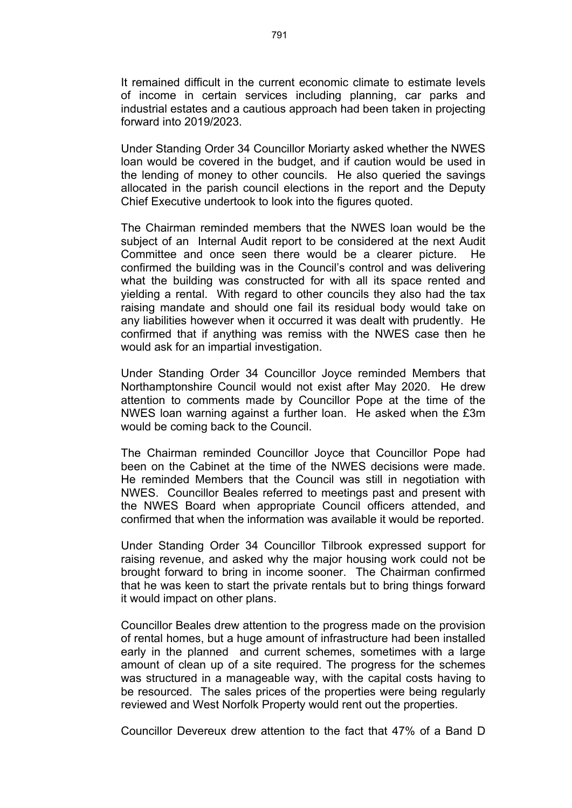It remained difficult in the current economic climate to estimate levels of income in certain services including planning, car parks and industrial estates and a cautious approach had been taken in projecting forward into 2019/2023.

Under Standing Order 34 Councillor Moriarty asked whether the NWES loan would be covered in the budget, and if caution would be used in the lending of money to other councils. He also queried the savings allocated in the parish council elections in the report and the Deputy Chief Executive undertook to look into the figures quoted.

The Chairman reminded members that the NWES loan would be the subject of an Internal Audit report to be considered at the next Audit Committee and once seen there would be a clearer picture. He confirmed the building was in the Council's control and was delivering what the building was constructed for with all its space rented and yielding a rental. With regard to other councils they also had the tax raising mandate and should one fail its residual body would take on any liabilities however when it occurred it was dealt with prudently. He confirmed that if anything was remiss with the NWES case then he would ask for an impartial investigation.

Under Standing Order 34 Councillor Joyce reminded Members that Northamptonshire Council would not exist after May 2020. He drew attention to comments made by Councillor Pope at the time of the NWES loan warning against a further loan. He asked when the £3m would be coming back to the Council.

The Chairman reminded Councillor Joyce that Councillor Pope had been on the Cabinet at the time of the NWES decisions were made. He reminded Members that the Council was still in negotiation with NWES. Councillor Beales referred to meetings past and present with the NWES Board when appropriate Council officers attended, and confirmed that when the information was available it would be reported.

Under Standing Order 34 Councillor Tilbrook expressed support for raising revenue, and asked why the major housing work could not be brought forward to bring in income sooner. The Chairman confirmed that he was keen to start the private rentals but to bring things forward it would impact on other plans.

Councillor Beales drew attention to the progress made on the provision of rental homes, but a huge amount of infrastructure had been installed early in the planned and current schemes, sometimes with a large amount of clean up of a site required. The progress for the schemes was structured in a manageable way, with the capital costs having to be resourced. The sales prices of the properties were being regularly reviewed and West Norfolk Property would rent out the properties.

Councillor Devereux drew attention to the fact that 47% of a Band D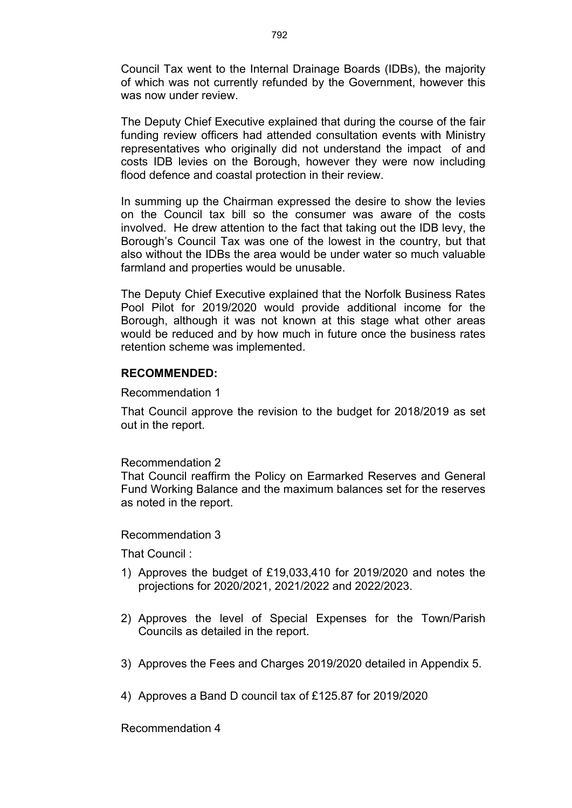Council Tax went to the Internal Drainage Boards (IDBs), the majority of which was not currently refunded by the Government, however this was now under review.

The Deputy Chief Executive explained that during the course of the fair funding review officers had attended consultation events with Ministry representatives who originally did not understand the impact of and costs IDB levies on the Borough, however they were now including flood defence and coastal protection in their review.

In summing up the Chairman expressed the desire to show the levies on the Council tax bill so the consumer was aware of the costs involved. He drew attention to the fact that taking out the IDB levy, the Borough's Council Tax was one of the lowest in the country, but that also without the IDBs the area would be under water so much valuable farmland and properties would be unusable.

The Deputy Chief Executive explained that the Norfolk Business Rates Pool Pilot for 2019/2020 would provide additional income for the Borough, although it was not known at this stage what other areas would be reduced and by how much in future once the business rates retention scheme was implemented.

#### **RECOMMENDED:**

#### Recommendation 1

That Council approve the revision to the budget for 2018/2019 as set out in the report.

#### Recommendation 2

That Council reaffirm the Policy on Earmarked Reserves and General Fund Working Balance and the maximum balances set for the reserves as noted in the report.

#### Recommendation 3

That Council :

- 1) Approves the budget of £19,033,410 for 2019/2020 and notes the projections for 2020/2021, 2021/2022 and 2022/2023.
- 2) Approves the level of Special Expenses for the Town/Parish Councils as detailed in the report.
- 3) Approves the Fees and Charges 2019/2020 detailed in Appendix 5.
- 4) Approves a Band D council tax of £125.87 for 2019/2020

Recommendation 4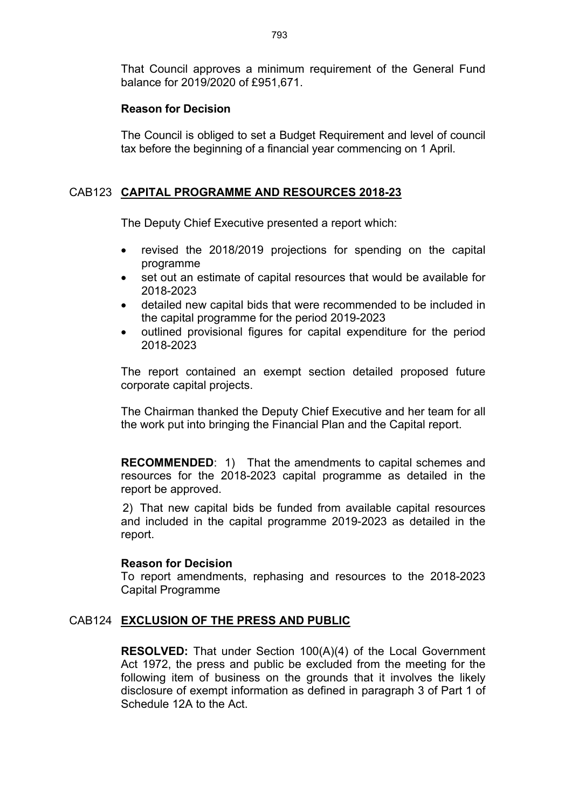That Council approves a minimum requirement of the General Fund balance for 2019/2020 of £951,671.

## **Reason for Decision**

The Council is obliged to set a Budget Requirement and level of council tax before the beginning of a financial year commencing on 1 April.

# CAB123 **CAPITAL PROGRAMME AND RESOURCES 2018-23**

The Deputy Chief Executive presented a report which:

- revised the 2018/2019 projections for spending on the capital programme
- set out an estimate of capital resources that would be available for 2018-2023
- detailed new capital bids that were recommended to be included in the capital programme for the period 2019-2023
- outlined provisional figures for capital expenditure for the period 2018-2023

The report contained an exempt section detailed proposed future corporate capital projects.

The Chairman thanked the Deputy Chief Executive and her team for all the work put into bringing the Financial Plan and the Capital report.

**RECOMMENDED**: 1) That the amendments to capital schemes and resources for the 2018-2023 capital programme as detailed in the report be approved.

2) That new capital bids be funded from available capital resources and included in the capital programme 2019-2023 as detailed in the report.

## **Reason for Decision**

To report amendments, rephasing and resources to the 2018-2023 Capital Programme

# CAB124 **EXCLUSION OF THE PRESS AND PUBLIC**

**RESOLVED:** That under Section 100(A)(4) of the Local Government Act 1972, the press and public be excluded from the meeting for the following item of business on the grounds that it involves the likely disclosure of exempt information as defined in paragraph 3 of Part 1 of Schedule 12A to the Act.